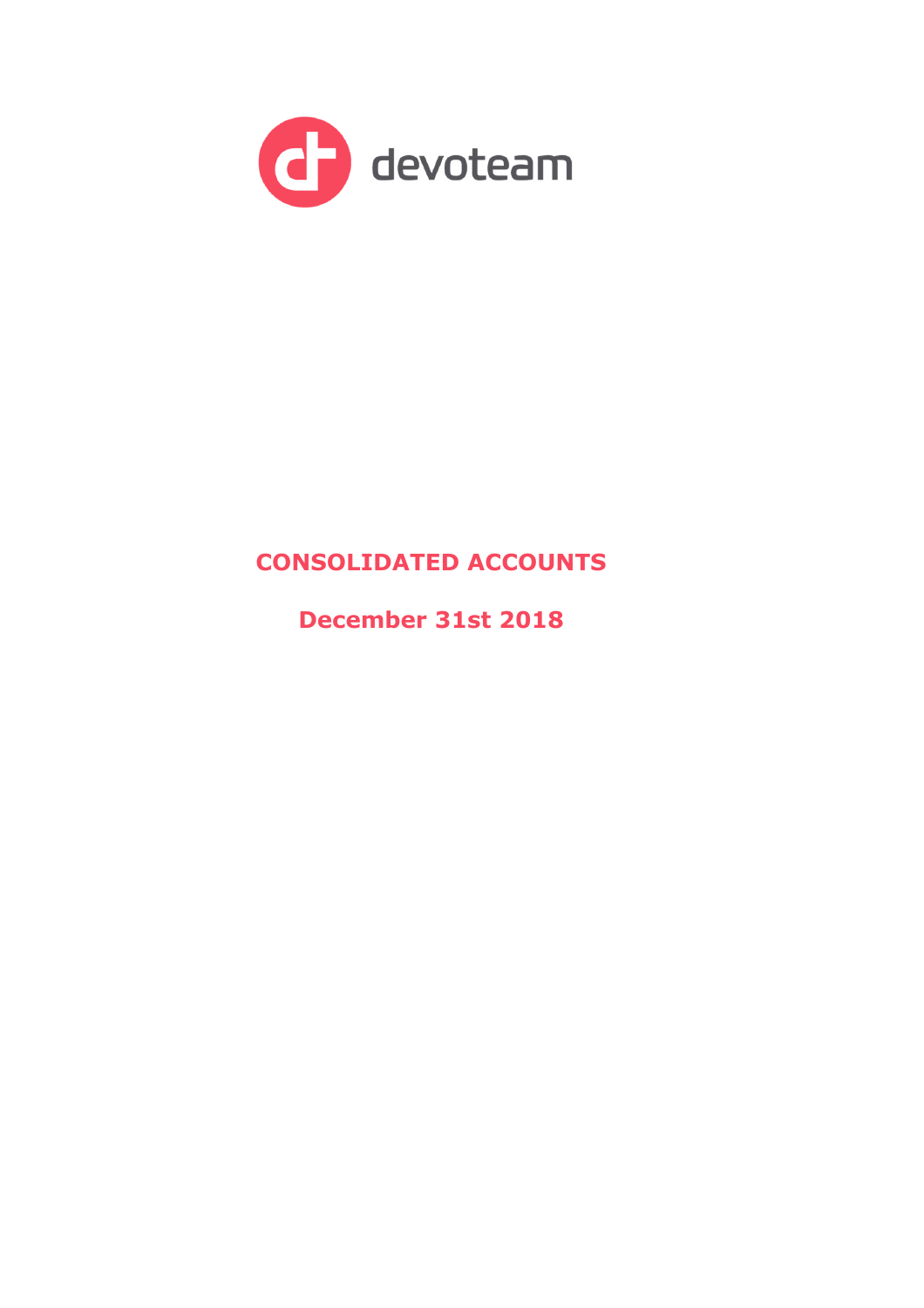

# **CONSOLIDATED ACCOUNTS**

**December 31st 2018**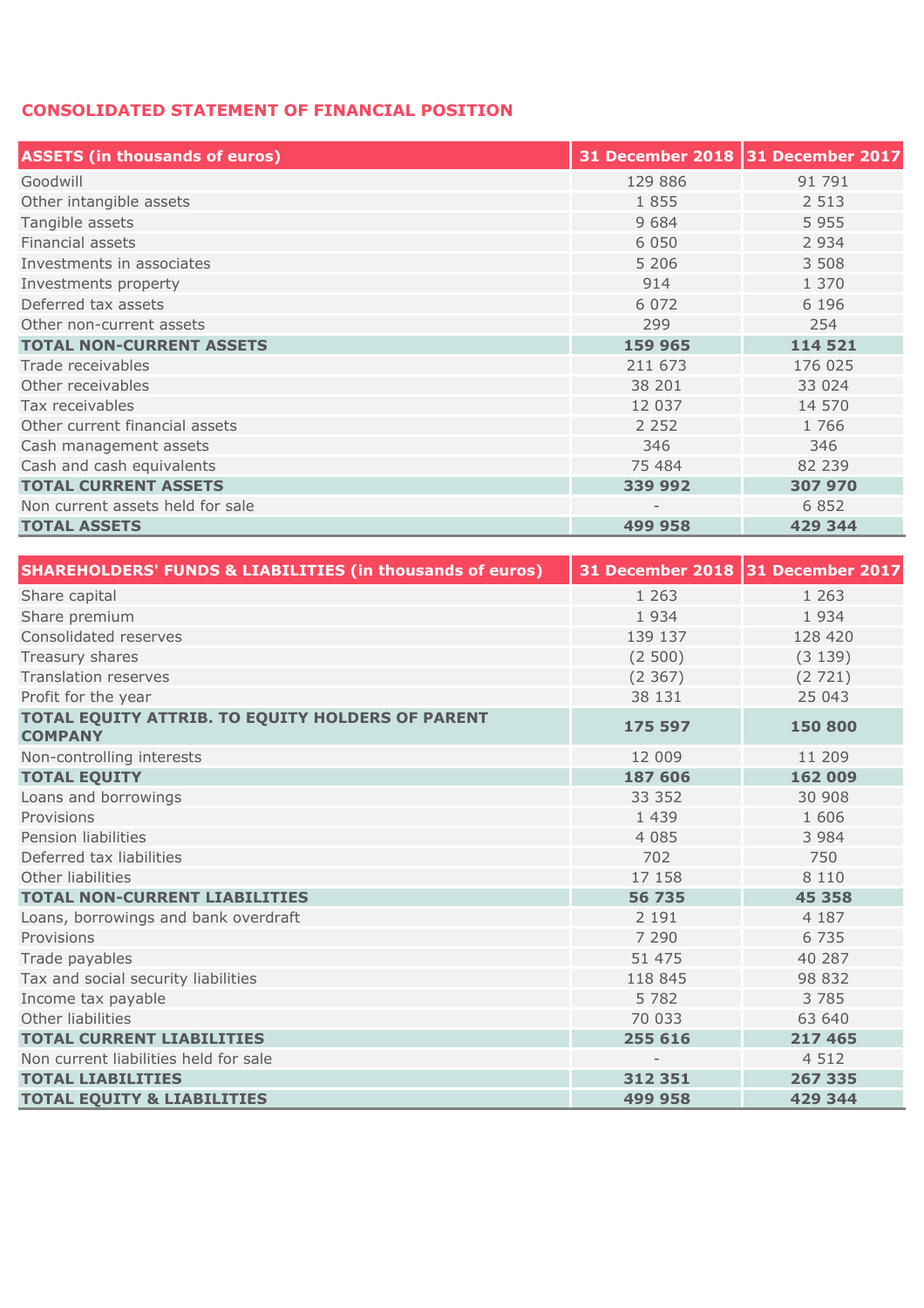## **CONSOLIDATED STATEMENT OF FINANCIAL POSITION**

| <b>ASSETS (in thousands of euros)</b> | 31 December 2018 31 December 2017 |         |
|---------------------------------------|-----------------------------------|---------|
| Goodwill                              | 129 886                           | 91 791  |
| Other intangible assets               | 1855                              | 2 5 1 3 |
| Tangible assets                       | 9684                              | 5955    |
| Financial assets                      | 6 0 5 0                           | 2 9 3 4 |
| Investments in associates             | 5 2 0 6                           | 3 508   |
| Investments property                  | 914                               | 1 370   |
| Deferred tax assets                   | 6 0 7 2                           | 6 1 9 6 |
| Other non-current assets              | 299                               | 254     |
| <b>TOTAL NON-CURRENT ASSETS</b>       | 159 965                           | 114 521 |
| Trade receivables                     | 211 673                           | 176 025 |
| Other receivables                     | 38 201                            | 33 0 24 |
| Tax receivables                       | 12 037                            | 14 570  |
| Other current financial assets        | 2 2 5 2                           | 1766    |
| Cash management assets                | 346                               | 346     |
| Cash and cash equivalents             | 75 484                            | 82 239  |
| <b>TOTAL CURRENT ASSETS</b>           | 339 992                           | 307 970 |
| Non current assets held for sale      |                                   | 6 8 5 2 |
| <b>TOTAL ASSETS</b>                   | 499 958                           | 429 344 |

| <b>SHAREHOLDERS' FUNDS &amp; LIABILITIES (in thousands of euros)</b> | 31 December 2018 31 December 2017 |         |
|----------------------------------------------------------------------|-----------------------------------|---------|
| Share capital                                                        | 1 2 6 3                           | 1 2 6 3 |
| Share premium                                                        | 1934                              | 1934    |
| Consolidated reserves                                                | 139 137                           | 128 420 |
| Treasury shares                                                      | (2500)                            | (3139)  |
| <b>Translation reserves</b>                                          | (2367)                            | (2721)  |
| Profit for the year                                                  | 38 131                            | 25 043  |
| TOTAL EQUITY ATTRIB. TO EQUITY HOLDERS OF PARENT<br><b>COMPANY</b>   | 175 597                           | 150 800 |
| Non-controlling interests                                            | 12 009                            | 11 209  |
| <b>TOTAL EQUITY</b>                                                  | 187 606                           | 162 009 |
| Loans and borrowings                                                 | 33 352                            | 30 908  |
| Provisions                                                           | 1 4 3 9                           | 1 606   |
| Pension liabilities                                                  | 4 0 8 5                           | 3 9 8 4 |
| Deferred tax liabilities                                             | 702                               | 750     |
| Other liabilities                                                    | 17 158                            | 8 1 1 0 |
| <b>TOTAL NON-CURRENT LIABILITIES</b>                                 | 56 735                            | 45 358  |
| Loans, borrowings and bank overdraft                                 | 2 1 9 1                           | 4 1 8 7 |
| Provisions                                                           | 7 2 9 0                           | 6 7 3 5 |
| Trade payables                                                       | 51 475                            | 40 287  |
| Tax and social security liabilities                                  | 118 845                           | 98 832  |
| Income tax payable                                                   | 5 7 8 2                           | 3 7 8 5 |
| Other liabilities                                                    | 70 033                            | 63 640  |
| <b>TOTAL CURRENT LIABILITIES</b>                                     | 255 616                           | 217 465 |
| Non current liabilities held for sale                                |                                   | 4 5 1 2 |
| <b>TOTAL LIABILITIES</b>                                             | 312 351                           | 267 335 |
| <b>TOTAL EQUITY &amp; LIABILITIES</b>                                | 499 958                           | 429 344 |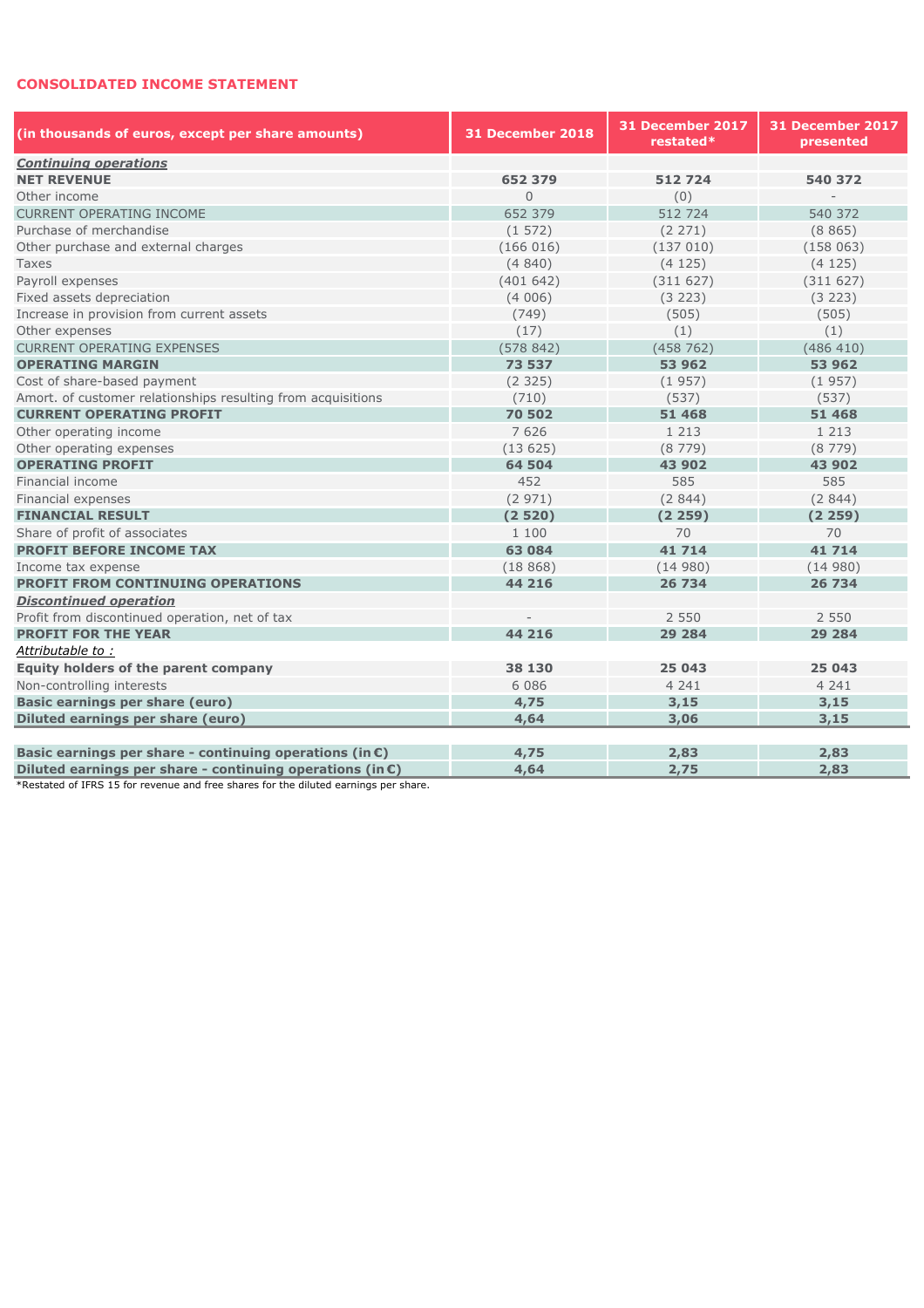#### **CONSOLIDATED INCOME STATEMENT**

| (in thousands of euros, except per share amounts)                   | 31 December 2018 | 31 December 2017<br>restated* | 31 December 2017<br>presented |  |
|---------------------------------------------------------------------|------------------|-------------------------------|-------------------------------|--|
| <b>Continuing operations</b>                                        |                  |                               |                               |  |
| <b>NET REVENUE</b>                                                  | 652 379          | 512724                        | 540 372                       |  |
| Other income                                                        | $\Omega$         | (0)                           |                               |  |
| CURRENT OPERATING INCOME                                            | 652 379          | 512724                        | 540 372                       |  |
| Purchase of merchandise                                             | (1572)           | (2 271)                       | (8865)                        |  |
| Other purchase and external charges                                 | (166016)         | (137010)                      | (158063)                      |  |
| Taxes                                                               | (4840)           | (4125)                        | (4125)                        |  |
| Payroll expenses                                                    | (401642)         | (311627)                      | (311627)                      |  |
| Fixed assets depreciation                                           | (4006)           | (3 223)                       | (3 223)                       |  |
| Increase in provision from current assets                           | (749)            | (505)                         | (505)                         |  |
| Other expenses                                                      | (17)             | (1)                           | (1)                           |  |
| <b>CURRENT OPERATING EXPENSES</b>                                   | (578842)         | (458762)                      | (486 410)                     |  |
| <b>OPERATING MARGIN</b>                                             | 73 537           | 53 962                        | 53 962                        |  |
| Cost of share-based payment                                         | (2325)           | (1957)                        | (1957)                        |  |
| Amort. of customer relationships resulting from acquisitions        | (710)            | (537)                         | (537)                         |  |
| <b>CURRENT OPERATING PROFIT</b>                                     | 70 502           | 51 468                        | 51 468                        |  |
| Other operating income                                              | 7 6 2 6          | 1 2 1 3                       | 1 2 1 3                       |  |
| Other operating expenses                                            | (13625)          | (8779)                        | (8779)                        |  |
| <b>OPERATING PROFIT</b>                                             | 64 504           | 43 902                        | 43 902                        |  |
| Financial income                                                    | 452              | 585                           | 585                           |  |
| Financial expenses                                                  | (2971)           | (2844)                        | (2844)                        |  |
| <b>FINANCIAL RESULT</b>                                             | (2520)           | (2259)                        | (2259)                        |  |
| Share of profit of associates                                       | 1 100            | 70                            | 70                            |  |
| <b>PROFIT BEFORE INCOME TAX</b>                                     | 63 084           | 41 714                        | 41 714                        |  |
| Income tax expense                                                  | (18868)          | (14980)                       | (14980)                       |  |
| <b>PROFIT FROM CONTINUING OPERATIONS</b>                            | 44 216           | 26 734                        | 26 734                        |  |
| <b>Discontinued operation</b>                                       |                  |                               |                               |  |
| Profit from discontinued operation, net of tax                      |                  | 2 5 5 0                       | 2 5 5 0                       |  |
| <b>PROFIT FOR THE YEAR</b>                                          | 44 216           | 29 284                        | 29 284                        |  |
| Attributable to:                                                    |                  |                               |                               |  |
| Equity holders of the parent company                                | 38 130           | 25 043                        | 25 043                        |  |
| Non-controlling interests                                           | 6 0 8 6          | 4 2 4 1                       | 4 2 4 1                       |  |
| <b>Basic earnings per share (euro)</b>                              | 4,75             | 3,15                          | 3,15                          |  |
| Diluted earnings per share (euro)                                   | 4,64             | 3,06                          | 3,15                          |  |
|                                                                     |                  |                               |                               |  |
| Basic earnings per share - continuing operations (in $\epsilon$ )   | 4,75             | 2,83                          | 2,83                          |  |
| Diluted earnings per share - continuing operations (in $\epsilon$ ) | 4,64             | 2,75                          | 2,83                          |  |

\*Restated of IFRS 15 for revenue and free shares for the diluted earnings per share.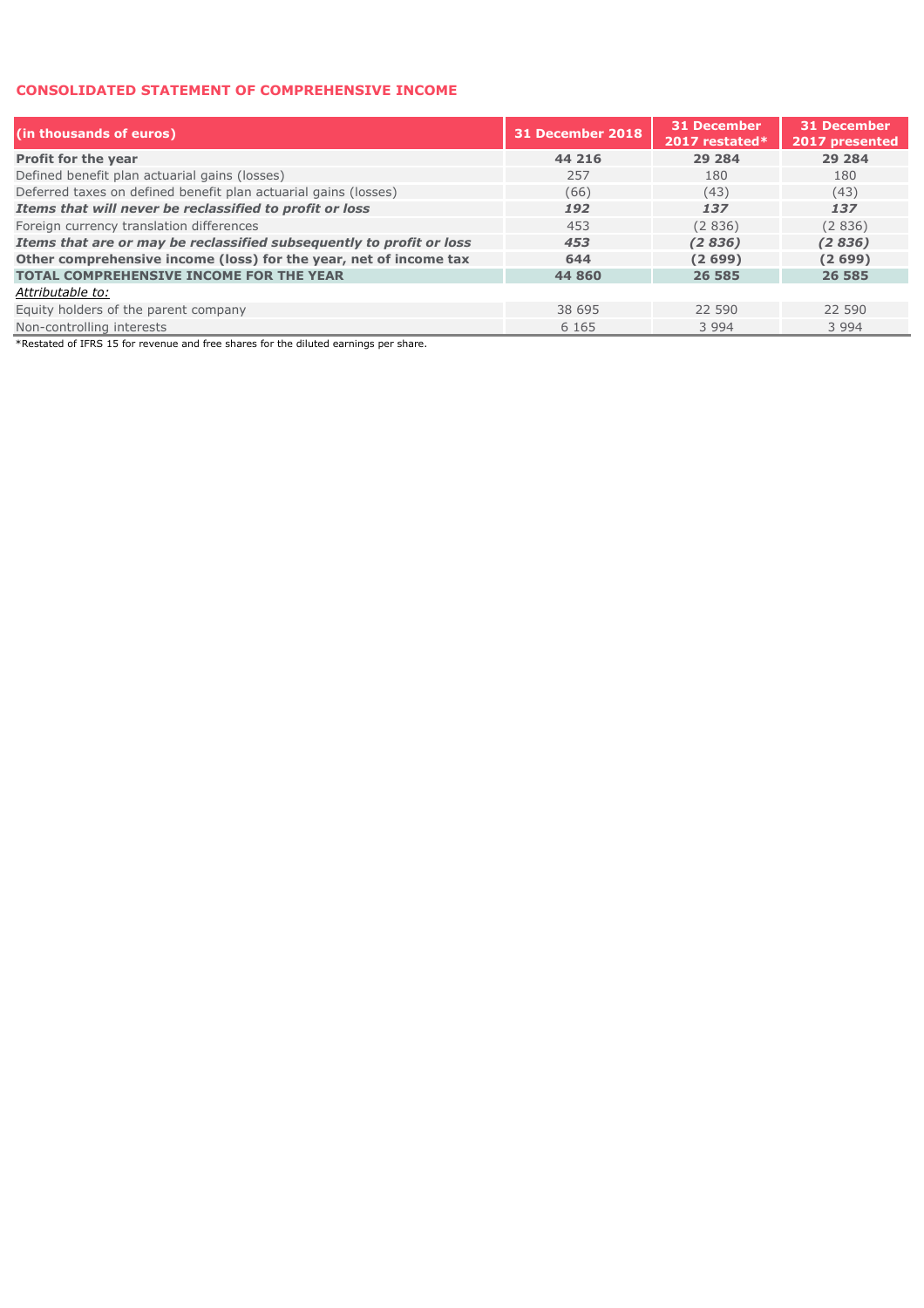#### **CONSOLIDATED STATEMENT OF COMPREHENSIVE INCOME**

| (in thousands of euros)                                              | 31 December 2018 | 31 December<br>2017 restated* | <b>31 December</b><br>2017 presented |
|----------------------------------------------------------------------|------------------|-------------------------------|--------------------------------------|
| Profit for the year                                                  | 44 216           | 29 284                        | 29 2 84                              |
| Defined benefit plan actuarial gains (losses)                        | 257              | 180                           | 180                                  |
| Deferred taxes on defined benefit plan actuarial gains (losses)      | (66)             | (43)                          | (43)                                 |
| Items that will never be reclassified to profit or loss              | 192              | 137                           | 137                                  |
| Foreign currency translation differences                             | 453              | (2 836)                       | (2836)                               |
| Items that are or may be reclassified subsequently to profit or loss | 453              | (2836)                        | (2836)                               |
| Other comprehensive income (loss) for the year, net of income tax    | 644              | (2699)                        | (2699)                               |
| <b>TOTAL COMPREHENSIVE INCOME FOR THE YEAR</b>                       | 44 860           | 26 585                        | 26 585                               |
| Attributable to:                                                     |                  |                               |                                      |
| Equity holders of the parent company                                 | 38 695           | 22 590                        | 22 590                               |
| Non-controlling interests                                            | 6 1 6 5          | 3 9 9 4                       | 3 9 9 4                              |

\*Restated of IFRS 15 for revenue and free shares for the diluted earnings per share.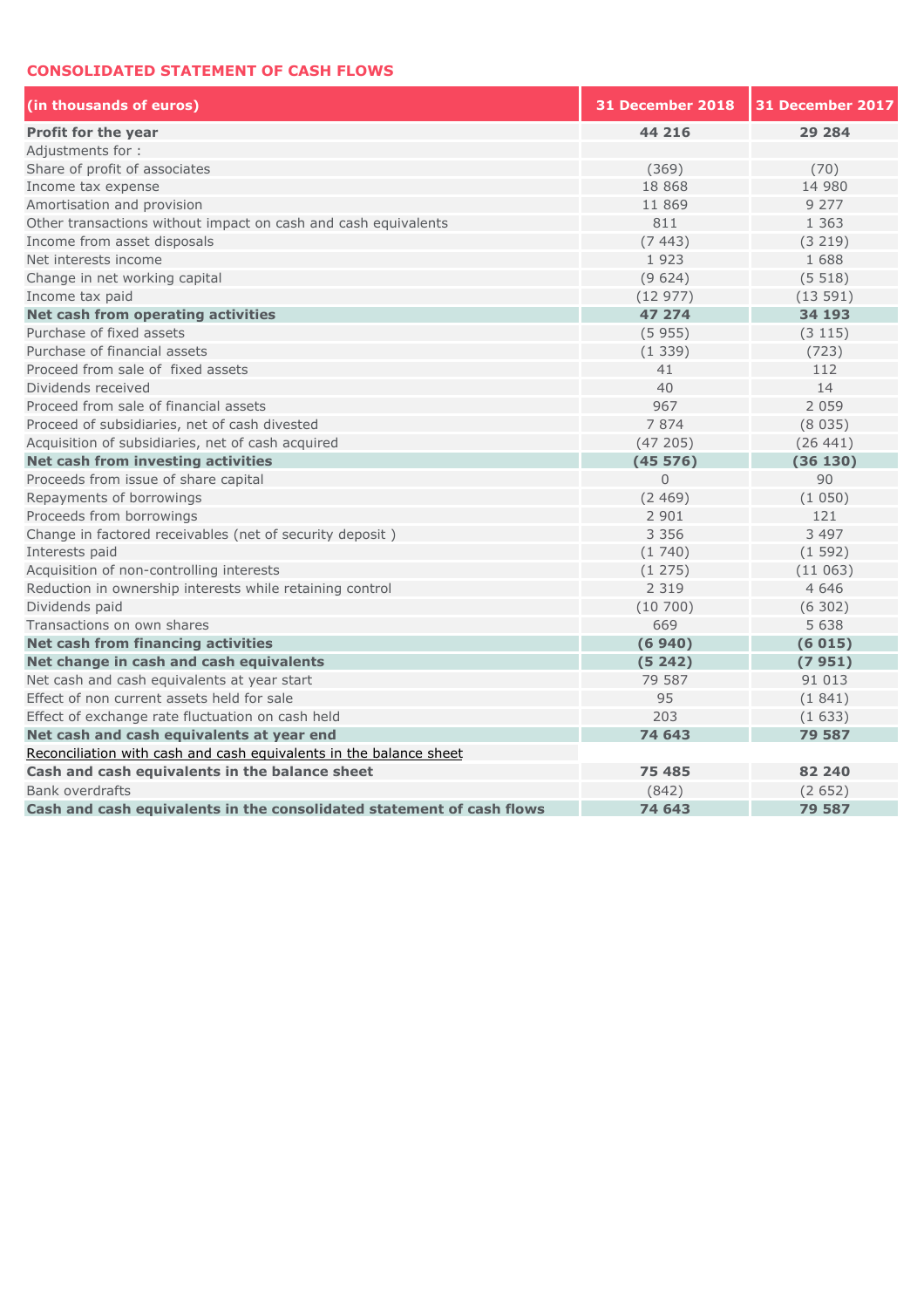#### **CONSOLIDATED STATEMENT OF CASH FLOWS**

| (in thousands of euros)                                               | 31 December 2018 | 31 December 2017 |
|-----------------------------------------------------------------------|------------------|------------------|
| Profit for the year                                                   | 44 216           | 29 284           |
| Adjustments for:                                                      |                  |                  |
| Share of profit of associates                                         | (369)            | (70)             |
| Income tax expense                                                    | 18 868           | 14 980           |
| Amortisation and provision                                            | 11 869           | 9 2 7 7          |
| Other transactions without impact on cash and cash equivalents        | 811              | 1 3 6 3          |
| Income from asset disposals                                           | (7443)           | (3 219)          |
| Net interests income                                                  | 1923             | 1 688            |
| Change in net working capital                                         | (9624)           | (5518)           |
| Income tax paid                                                       | (12977)          | (13591)          |
| Net cash from operating activities                                    | 47 274           | 34 193           |
| Purchase of fixed assets                                              | (5955)           | (3 115)          |
| Purchase of financial assets                                          | (1339)           | (723)            |
| Proceed from sale of fixed assets                                     | 41               | 112              |
| Dividends received                                                    | 40               | 14               |
| Proceed from sale of financial assets                                 | 967              | 2 0 5 9          |
| Proceed of subsidiaries, net of cash divested                         | 7874             | (8035)           |
| Acquisition of subsidiaries, net of cash acquired                     | (47205)          | (26441)          |
| Net cash from investing activities                                    | (45576)          | (36130)          |
| Proceeds from issue of share capital                                  | $\overline{0}$   | 90               |
| Repayments of borrowings                                              | (2469)           | (1050)           |
| Proceeds from borrowings                                              | 2 9 0 1          | 121              |
| Change in factored receivables (net of security deposit)              | 3 3 5 6          | 3 4 9 7          |
| Interests paid                                                        | (1740)           | (1592)           |
| Acquisition of non-controlling interests                              | (1275)           | (11063)          |
| Reduction in ownership interests while retaining control              | 2 3 1 9          | 4 6 4 6          |
| Dividends paid                                                        | (10700)          | (6302)           |
| Transactions on own shares                                            | 669              | 5 6 3 8          |
| Net cash from financing activities                                    | (6940)           | (6015)           |
| Net change in cash and cash equivalents                               | (5242)           | (7951)           |
| Net cash and cash equivalents at year start                           | 79 587           | 91 013           |
| Effect of non current assets held for sale                            | 95               | (1841)           |
| Effect of exchange rate fluctuation on cash held                      | 203              | (1633)           |
| Net cash and cash equivalents at year end                             | 74 643           | 79 587           |
| Reconciliation with cash and cash equivalents in the balance sheet    |                  |                  |
| Cash and cash equivalents in the balance sheet                        | 75 485           | 82 240           |
| <b>Bank overdrafts</b>                                                | (842)            | (2652)           |
| Cash and cash equivalents in the consolidated statement of cash flows | 74 643           | 79 587           |